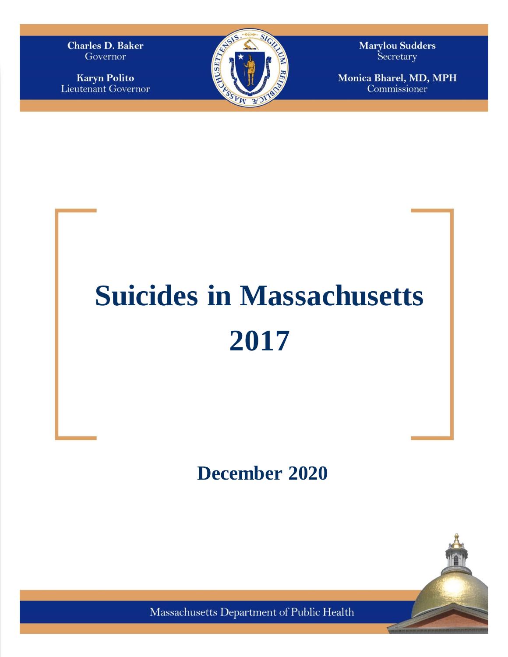**Charles D. Baker** Governor

**Karyn Polito** Lieutenant Governor



**Marylou Sudders** Secretary

Monica Bharel, MD, MPH Commissioner

# **Suicides in Massachusetts 2017**

# **December 2020**

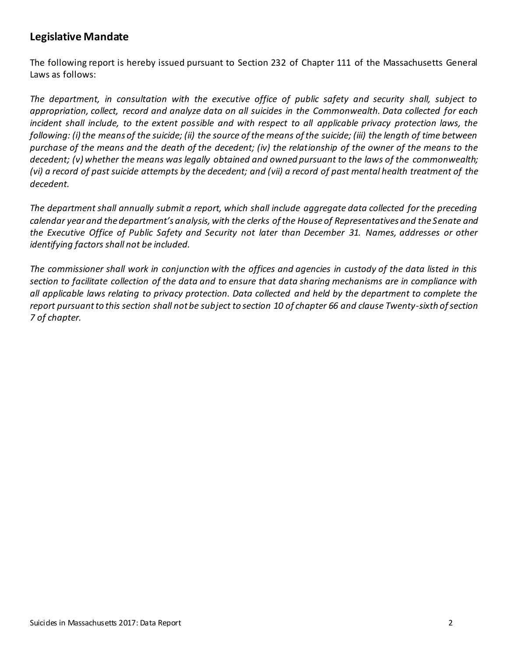## **Legislative Mandate**

The following report is hereby issued pursuant to Section 232 of Chapter 111 of the Massachusetts General Laws as follows:

*The department, in consultation with the executive office of public safety and security shall, subject to appropriation, collect, record and analyze data on all suicides in the Commonwealth. Data collected for each incident shall include, to the extent possible and with respect to all applicable privacy protection laws, the following: (i) the means of the suicide; (ii) the source of the means of the suicide; (iii) the length of time between purchase of the means and the death of the decedent; (iv) the relationship of the owner of the means to the decedent; (v) whether the means was legally obtained and owned pursuant to the laws of the commonwealth; (vi) a record of past suicide attempts by the decedent; and (vii) a record of past mental health treatment of the decedent.* 

*The department shall annually submit a report, which shall include aggregate data collected for the preceding calendar year and the department's analysis, with the clerks of the House of Representatives and the Senate and the Executive Office of Public Safety and Security not later than December 31. Names, addresses or other identifying factors shall not be included.* 

*The commissioner shall work in conjunction with the offices and agencies in custody of the data listed in this section to facilitate collection of the data and to ensure that data sharing mechanisms are in compliance with all applicable laws relating to privacy protection. Data collected and held by the department to complete the report pursuant to this section shall not be subject to section 10 of chapter 66 and clause Twenty-sixth of section 7 of chapter.*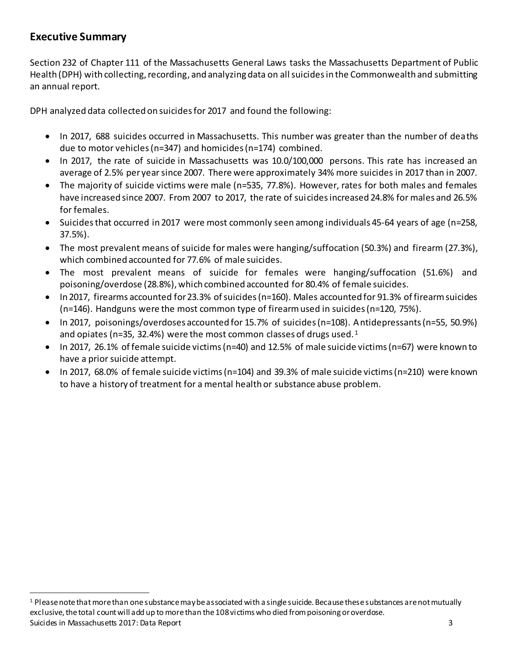# **Executive Summary**

l

Section 232 of Chapter 111 of the Massachusetts General Laws tasks the Massachusetts Department of Public Health (DPH) with collecting, recording, and analyzing data on all suicides in the Commonwealth and submitting an annual report.

DPH analyzed data collected on suicides for 2017 and found the following:

- In 2017, 688 suicides occurred in Massachusetts. This number was greater than the number of deaths due to motor vehicles (n=347) and homicides (n=174) combined.
- In 2017, the rate of suicide in Massachusetts was 10.0/100,000 persons. This rate has increased an average of 2.5% per year since 2007. There were approximately 34% more suicides in 2017 than in 2007.
- The majority of suicide victims were male (n=535, 77.8%). However, rates for both males and females have increased since 2007. From 2007 to 2017, the rate of suicides increased 24.8% for males and 26.5% for females.
- Suicidesthat occurred in 2017 were most commonly seen among individuals 45-64 years of age (n=258, 37.5%).
- The most prevalent means of suicide for males were hanging/suffocation (50.3%) and firearm (27.3%), which combined accounted for 77.6% of male suicides.
- The most prevalent means of suicide for females were hanging/suffocation (51.6%) and poisoning/overdose (28.8%), which combined accounted for 80.4% of female suicides.
- In 2017, firearms accounted for 23.3% of suicides (n=160). Males accounted for 91.3% of firearm suicides (n=146). Handguns were the most common type of firearm used in suicides (n=120, 75%).
- In 2017, poisonings/overdoses accounted for 15.7% of suicides (n=108). Antidepressants (n=55, 50.9%) and opiates ( $n=35$ , 32.4%) were the most common classes of drugs used.<sup>1</sup>
- In 2017, 26.1% of female suicide victims (n=40) and 12.5% of male suicide victims (n=67) were known to have a prior suicide attempt.
- In 2017, 68.0% of female suicide victims (n=104) and 39.3% of male suicide victims (n=210) were known to have a history of treatment for a mental health or substance abuse problem.

Suicides in Massachusetts 2017: Data Report 3 <sup>1</sup> Please note that more than one substance may be associated with a single suicide. Because these substances are not mutually exclusive, the total count will add up to more than the 108 victims who died from poisoning or overdose.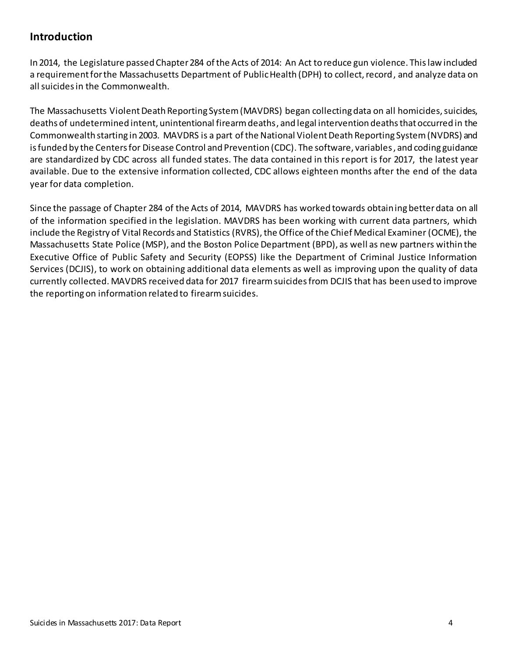# **Introduction**

In 2014, the Legislature passed Chapter 284 of the Acts of 2014: An Act to reduce gun violence. This law included a requirement for the Massachusetts Department of Public Health (DPH) to collect, record, and analyze data on all suicides in the Commonwealth.

The Massachusetts Violent Death Reporting System (MAVDRS) began collecting data on all homicides, suicides, deaths of undetermined intent, unintentional firearm deaths, and legal intervention deaths that occurred in the Commonwealth starting in 2003. MAVDRS is a part of the National Violent Death Reporting System (NVDRS) and is funded by the Centers for Disease Control and Prevention (CDC). The software, variables, and coding guidance are standardized by CDC across all funded states. The data contained in this report is for 2017, the latest year available. Due to the extensive information collected, CDC allows eighteen months after the end of the data year for data completion.

Since the passage of Chapter 284 of the Acts of 2014, MAVDRS has worked towards obtaining better data on all of the information specified in the legislation. MAVDRS has been working with current data partners, which include the Registry of Vital Records and Statistics (RVRS), the Office of the Chief Medical Examiner (OCME), the Massachusetts State Police (MSP), and the Boston Police Department (BPD), as well as new partners within the Executive Office of Public Safety and Security (EOPSS) like the Department of Criminal Justice Information Services (DCJIS), to work on obtaining additional data elements as well as improving upon the quality of data currently collected. MAVDRS received data for 2017 firearm suicides from DCJIS that has been used to improve the reporting on information related to firearm suicides.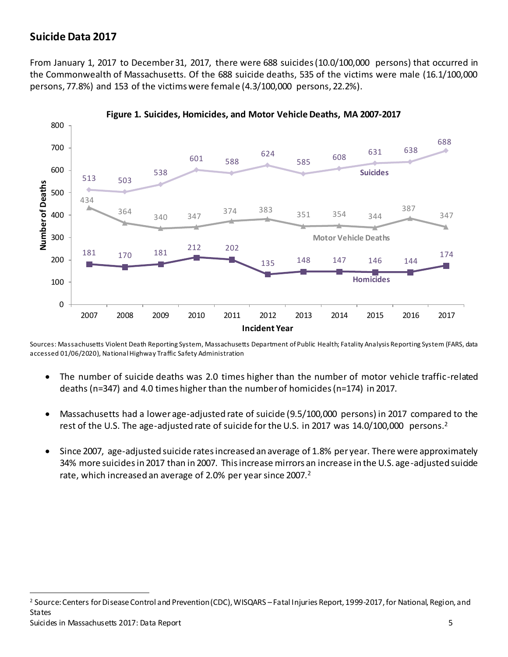## **Suicide Data 2017**

l

From January 1, 2017 to December 31, 2017, there were 688 suicides (10.0/100,000 persons) that occurred in the Commonwealth of Massachusetts. Of the 688 suicide deaths, 535 of the victims were male (16.1/100,000 persons, 77.8%) and 153 of the victims were female (4.3/100,000 persons, 22.2%).



**Figure 1. Suicides, Homicides, and Motor Vehicle Deaths, MA 2007-2017**

Sources: Massachusetts Violent Death Reporting System, Massachusetts Department of Public Health; Fatality Analysis Reporting System (FARS, data accessed 01/06/2020), National Highway Traffic Safety Administration

- The number of suicide deaths was 2.0 times higher than the number of motor vehicle traffic-related deaths (n=347) and 4.0 times higher than the number of homicides (n=174) in 2017.
- Massachusetts had a lower age-adjusted rate of suicide (9.5/100,000 persons) in 2017 compared to the rest of the U.S. The age-adjusted rate of suicide for the U.S. in 2017 was 14.0/100,000 persons.<sup>2</sup>
- <span id="page-4-0"></span>• Since 2007, age-adjusted suicide rates increased an average of 1.8% per year. There were approximately 34% more suicides in 2017 than in 2007. This increase mirrors an increase in the U.S. age-adjusted suicide rate, which increased an average of [2](#page-4-0).0% per year since 2007.<sup>2</sup>

Suicides in Massachusetts 2017: Data Report 5 <sup>2</sup> Source: Centers for Disease Control and Prevention (CDC), WISQARS –Fatal Injuries Report, 1999-2017, for National, Region, and States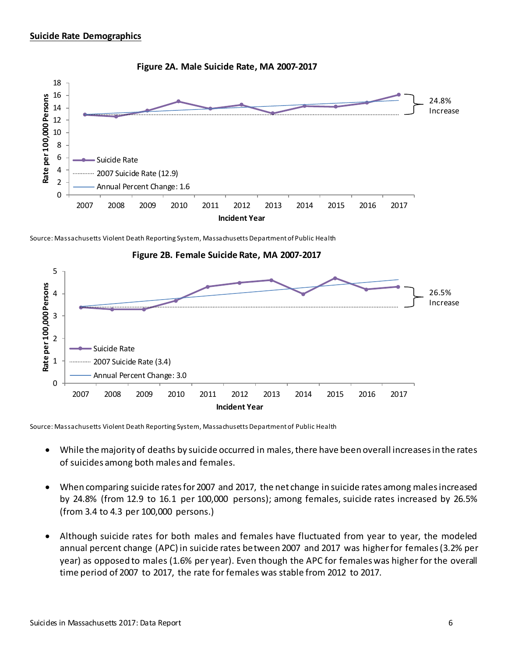



Source: Massachusetts Violent Death Reporting System, Massachusetts Department of Public Health



Source: Massachusetts Violent Death Reporting System, Massachusetts Department of Public Health

- While the majority of deaths by suicide occurred in males, there have been overall increases in the rates of suicides among both males and females.
- When comparing suicide rates for 2007 and 2017, the net change in suicide rates among males increased by 24.8% (from 12.9 to 16.1 per 100,000 persons); among females, suicide rates increased by 26.5% (from 3.4 to 4.3 per 100,000 persons.)
- Although suicide rates for both males and females have fluctuated from year to year, the modeled annual percent change (APC) in suicide rates between 2007 and 2017 was higher for females(3.2% per year) as opposed to males (1.6% per year). Even though the APC for females was higher for the overall time period of 2007 to 2017, the rate for females was stable from 2012 to 2017.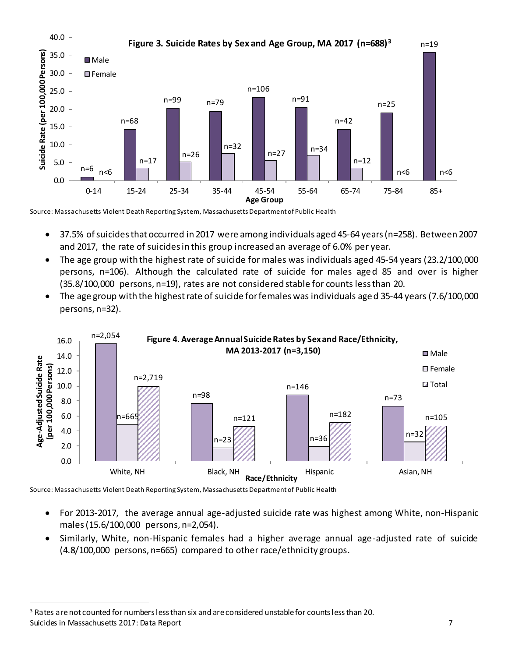

Source: Massachusetts Violent Death Reporting System, Massachusetts Department of Public Health

- 37.5% of suicides that occurred in 2017 were among individuals aged 45-64 years (n=258). Between 2007 and 2017, the rate of suicides in this group increased an average of 6.0% per year.
- The age group with the highest rate of suicide for males was individuals aged 45-54 years (23.2/100,000 persons, n=106). Although the calculated rate of suicide for males aged 85 and over is higher (35.8/100,000 persons, n=19), rates are not considered stable for counts less than 20.
- The age group with the highest rate of suicide for females was individuals aged 35-44 years (7.6/100,000 persons, n=32).



Source: Massachusetts Violent Death Reporting System, Massachusetts Department of Public Health

- For 2013-2017, the average annual age-adjusted suicide rate was highest among White, non-Hispanic males (15.6/100,000 persons, n=2,054).
- Similarly, White, non-Hispanic females had a higher average annual age-adjusted rate of suicide (4.8/100,000 persons, n=665) compared to other race/ethnicity groups.

Suicides in Massachusetts 2017: Data Report 7 <sup>3</sup> Rates are not counted for numbers less than six and are considered unstable for counts less than 20.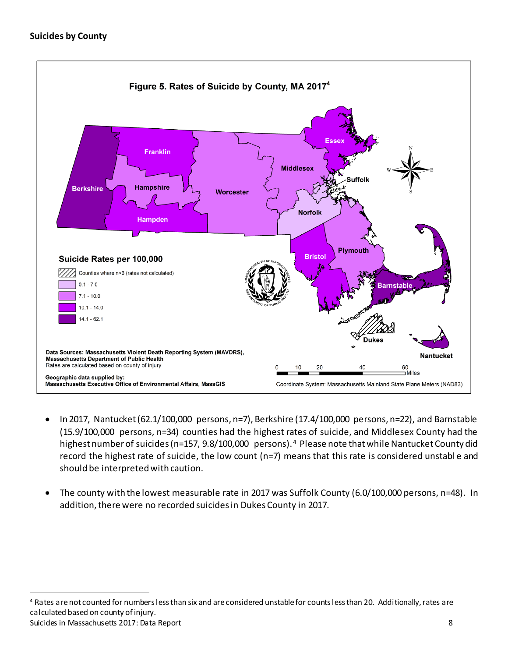#### **Suicides by County**



- In 2017, Nantucket (62.1/100,000 persons, n=7), Berkshire (17.4/100,000 persons, n=22), and Barnstable (15.9/100,000 persons, n=34) counties had the highest rates of suicide, and Middlesex County had the highest number of suicides (n=157, 9.8/100,000 persons).<sup>4</sup> Please note that while Nantucket County did record the highest rate of suicide, the low count (n=7) means that this rate is considered unstabl e and should be interpreted with caution.
- The county with the lowest measurable rate in 2017 was Suffolk County (6.0/100,000 persons, n=48). In addition, there were no recorded suicides in Dukes County in 2017.

Suicides in Massachusetts 2017: Data Report 8 l <sup>4</sup> Rates are not counted for numbers less than six and are considered unstable for counts less than 20. Additionally, rates are calculated based on county of injury.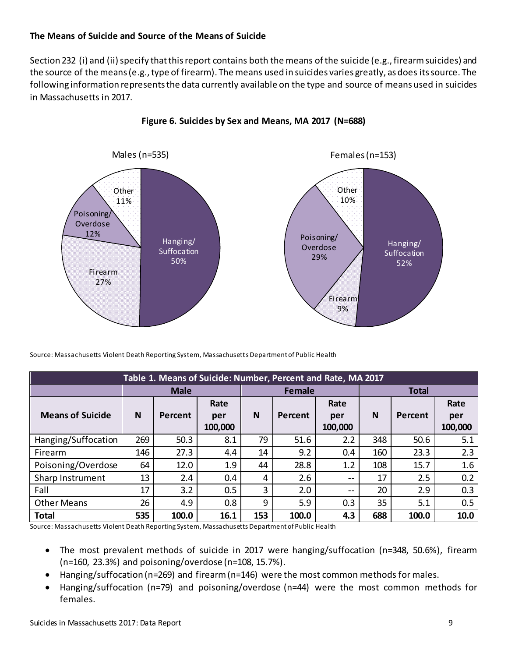#### **The Means of Suicide and Source of the Means of Suicide**

Section 232 (i) and (ii) specify that this report contains both the means of the suicide (e.g., firearm suicides) and the source of the means (e.g., type of firearm). The means used in suicides varies greatly, as does its source. The following information represents the data currently available on the type and source of means used in suicides in Massachusetts in 2017.



**Figure 6. Suicides by Sex and Means, MA 2017 (N=688)**

Source: Massachusetts Violent Death Reporting System, Massachusetts Department of Public Health

| Table 1. Means of Suicide: Number, Percent and Rate, MA 2017 |     |             |         |               |         |         |              |         |         |
|--------------------------------------------------------------|-----|-------------|---------|---------------|---------|---------|--------------|---------|---------|
|                                                              |     | <b>Male</b> |         | <b>Female</b> |         |         | <b>Total</b> |         |         |
|                                                              |     |             | Rate    |               |         | Rate    |              |         | Rate    |
| <b>Means of Suicide</b>                                      | N   | Percent     | per     | N             | Percent | per     | N            | Percent | per     |
|                                                              |     |             | 100,000 |               |         | 100,000 |              |         | 100,000 |
| Hanging/Suffocation                                          | 269 | 50.3        | 8.1     | 79            | 51.6    | 2.2     | 348          | 50.6    | 5.1     |
| Firearm                                                      | 146 | 27.3        | 4.4     | 14            | 9.2     | 0.4     | 160          | 23.3    | 2.3     |
| Poisoning/Overdose                                           | 64  | 12.0        | 1.9     | 44            | 28.8    | 1.2     | 108          | 15.7    | 1.6     |
| Sharp Instrument                                             | 13  | 2.4         | 0.4     | 4             | 2.6     | $- -$   | 17           | 2.5     | 0.2     |
| Fall                                                         | 17  | 3.2         | 0.5     | 3             | 2.0     | $- -$   | 20           | 2.9     | 0.3     |
| <b>Other Means</b>                                           | 26  | 4.9         | 0.8     | 9             | 5.9     | 0.3     | 35           | 5.1     | 0.5     |
| <b>Total</b>                                                 | 535 | 100.0       | 16.1    | 153           | 100.0   | 4.3     | 688          | 100.0   | 10.0    |

Source: Massachusetts Violent Death Reporting System, Massachusetts Department of Public Health

- The most prevalent methods of suicide in 2017 were hanging/suffocation (n=348, 50.6%), fiream (n=160, 23.3%) and poisoning/overdose (n=108, 15.7%).
- Hanging/suffocation (n=269) and firearm (n=146) were the most common methods for males.
- Hanging/suffocation (n=79) and poisoning/overdose (n=44) were the most common methods for females.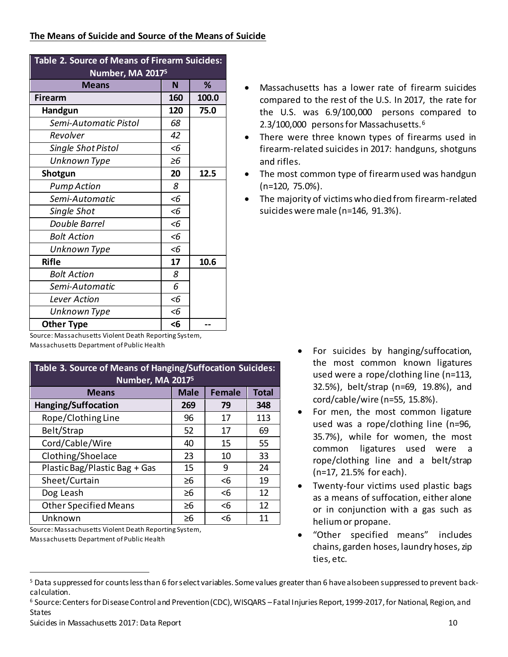| Table 2. Source of Means of Firearm Suicides: |              |       |  |  |  |  |  |
|-----------------------------------------------|--------------|-------|--|--|--|--|--|
| Number, MA 2017 <sup>5</sup>                  |              |       |  |  |  |  |  |
| <b>Means</b>                                  | N            | ℅     |  |  |  |  |  |
| Firearm                                       | 160          | 100.0 |  |  |  |  |  |
| Handgun                                       | 120          | 75.0  |  |  |  |  |  |
| Semi-Automatic Pistol                         | 68           |       |  |  |  |  |  |
| Revolver                                      | 42           |       |  |  |  |  |  |
| <b>Single Shot Pistol</b>                     | $\leq 6$     |       |  |  |  |  |  |
| Unknown Type                                  | $\geq 6$     |       |  |  |  |  |  |
| Shotgun                                       | 20           | 12.5  |  |  |  |  |  |
| <b>Pump Action</b>                            | 8            |       |  |  |  |  |  |
| Semi-Automatic                                | <6           |       |  |  |  |  |  |
| Single Shot                                   | <6           |       |  |  |  |  |  |
| <b>Double Barrel</b>                          | <6           |       |  |  |  |  |  |
| <b>Bolt Action</b>                            | <6           |       |  |  |  |  |  |
| Unknown Type                                  | $\epsilon$ 6 |       |  |  |  |  |  |
| <b>Rifle</b>                                  | 17           | 10.6  |  |  |  |  |  |
| <b>Bolt Action</b>                            | 8            |       |  |  |  |  |  |
| Semi-Automatic                                | 6            |       |  |  |  |  |  |
| Lever Action                                  | <6           |       |  |  |  |  |  |
| Unknown Type                                  | <6           |       |  |  |  |  |  |
| <b>Other Type</b>                             | <6           |       |  |  |  |  |  |

Source: Massachusetts Violent Death Reporting System, Massachusetts Department of Public Health<sup>6</sup>

| Table 3. Source of Means of Hanging/Suffocation Suicides:<br>Number, MA 2017 <sup>5</sup> |          |          |     |  |  |  |  |  |
|-------------------------------------------------------------------------------------------|----------|----------|-----|--|--|--|--|--|
| <b>Male</b><br><b>Female</b><br><b>Total</b><br><b>Means</b>                              |          |          |     |  |  |  |  |  |
| Hanging/Suffocation                                                                       | 269      | 79       | 348 |  |  |  |  |  |
| Rope/Clothing Line                                                                        | 96       | 17       | 113 |  |  |  |  |  |
| Belt/Strap                                                                                | 52       | 17       | 69  |  |  |  |  |  |
| Cord/Cable/Wire                                                                           | 40       | 15       | 55  |  |  |  |  |  |
| Clothing/Shoelace                                                                         | 23       | 10       | 33  |  |  |  |  |  |
| Plastic Bag/Plastic Bag + Gas                                                             | 15       | 9        | 24  |  |  |  |  |  |
| Sheet/Curtain                                                                             | $\geq 6$ | $\leq 6$ | 19  |  |  |  |  |  |
| Dog Leash                                                                                 | $\geq 6$ | $6$      | 12  |  |  |  |  |  |
| <b>Other Specified Means</b>                                                              | $\geq 6$ | $6$      | 12  |  |  |  |  |  |
| Unknown                                                                                   | $\geq 6$ | $\leq 6$ | 11  |  |  |  |  |  |

- Source: Massachusetts Violent Death Reporting System,
- Massachusetts Department of Public Health

- <span id="page-9-0"></span>• Massachusetts has a lower rate of firearm suicides compared to the rest of the U.S. In 2017, the rate for the U.S. was 6.9/100,000 persons compared to 2.3/100,000 persons for Massachusetts.<sup>6</sup>
- There were three known types of firearms used in firearm-related suicides in 2017: handguns, shotguns and rifles.
- The most common type of firearm used was handgun (n=120, 75.0%).
- The majority of victims who died from firearm-related suicides were male (n=146, 91.3%).

- For suicides by hanging/suffocation, the most common known ligatures used were a rope/clothing line (n=113, 32.5%), belt/strap (n=69, 19.8%), and cord/cable/wire (n=55, 15.8%).
- For men, the most common ligature used was a rope/clothing line (n=96, 35.7%), while for women, the most common ligatures used were a rope/clothing line and a belt/strap (n=17, 21.5% for each).
- Twenty-four victims used plastic bags as a means of suffocation, either alone or in conjunction with a gas such as helium or propane.
- "Other specified means" includes chains, garden hoses, laundry hoses, zip ties, etc.

<sup>&</sup>lt;sup>5</sup> Data suppressed for counts less than 6 for select variables. Some values greater than 6 have also been suppressed to prevent backcalculation.

<sup>6</sup> Source: Centers for Disease Control and Prevention (CDC), WISQARS –Fatal Injuries Report, 1999-2017, for National, Region, and States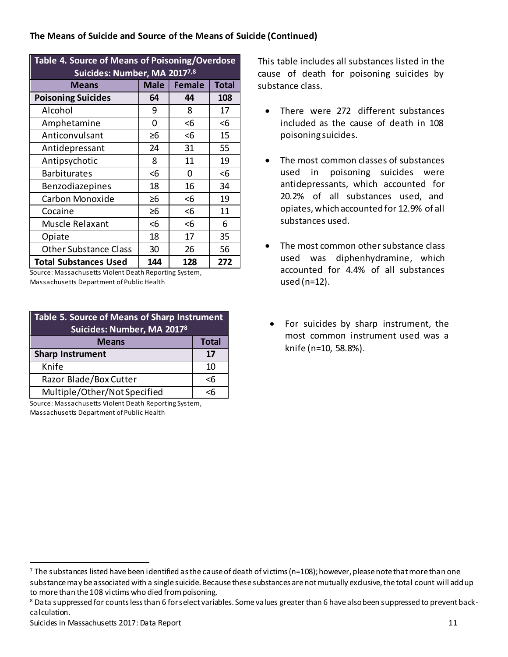#### **The Means of Suicide and Source of the Means of Suicide (Continued)**

| <b>Table 4. Source of Means of Poisoning/Overdose</b><br>Suicides: Number, MA 20177,8 |          |     |     |  |  |  |  |  |  |
|---------------------------------------------------------------------------------------|----------|-----|-----|--|--|--|--|--|--|
| <b>Male</b><br>Female<br><b>Total</b><br><b>Means</b>                                 |          |     |     |  |  |  |  |  |  |
| <b>Poisoning Suicides</b>                                                             | 64       | 44  | 108 |  |  |  |  |  |  |
| Alcohol                                                                               | 9        | 8   | 17  |  |  |  |  |  |  |
| Amphetamine                                                                           | 0        | <6  | <6  |  |  |  |  |  |  |
| Anticonvulsant                                                                        | ≥6       | $6$ | 15  |  |  |  |  |  |  |
| Antidepressant                                                                        | 24       | 31  | 55  |  |  |  |  |  |  |
| Antipsychotic                                                                         | 8        | 11  | 19  |  |  |  |  |  |  |
| <b>Barbiturates</b>                                                                   | <6       | 0   | <6  |  |  |  |  |  |  |
| Benzodiazepines                                                                       | 18       | 16  | 34  |  |  |  |  |  |  |
| Carbon Monoxide                                                                       | $\geq 6$ | $6$ | 19  |  |  |  |  |  |  |
| Cocaine                                                                               | $\geq 6$ | <6  | 11  |  |  |  |  |  |  |
| Muscle Relaxant                                                                       | <6       | $6$ | 6   |  |  |  |  |  |  |
| Opiate                                                                                | 18       | 17  | 35  |  |  |  |  |  |  |
| <b>Other Substance Class</b>                                                          | 30       | 26  | 56  |  |  |  |  |  |  |
| <b>Total Substances Used</b>                                                          | 144      | 128 | 272 |  |  |  |  |  |  |

Source: Massachusetts Violent Death Reporting System, Massachusetts Department of Public Health

| Table 5. Source of Means of Sharp Instrument<br>Suicides: Number, MA 20178 |              |  |  |  |
|----------------------------------------------------------------------------|--------------|--|--|--|
| <b>Means</b>                                                               | <b>Total</b> |  |  |  |
| <b>Sharp Instrument</b><br>17                                              |              |  |  |  |
| Knife                                                                      | 10           |  |  |  |
| Razor Blade/Box Cutter                                                     | <6           |  |  |  |
| Multiple/Other/Not Specified                                               |              |  |  |  |

Source: Massachusetts Violent Death Reporting System, Massachusetts Department of Public Health

<span id="page-10-0"></span>This table includes all substances listed in the cause of death for poisoning suicides by substance class.

- There were 272 different substances included as the cause of death in 108 poisoning suicides.
- The most common classes of substances used in poisoning suicides were antidepressants, which accounted for 20.2% of all substances used, and opiates, which accounted for 12.9% of all substances used.
- The most common other substance class used was diphenhydramine, which accounted for 4.4% of all substances used (n=12).
- For suicides by sharp instrument, the most common instrument used was a knife (n=10, 58.8%).

 $7$  The substances listed have been identified as the cause of death of victims (n=108); however, please note that more than one substance may be associated with a single suicide. Because these substances are not mutually exclusive, the total count will add up to more than the 108 victims who died from poisoning.

<sup>8</sup> Data suppressed for counts less than 6 for select variables. Some values greater than 6 have also been suppressed to prevent backcalculation.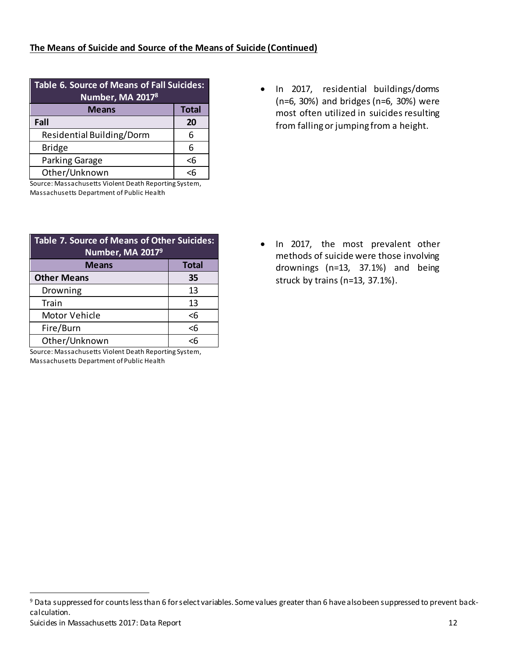#### **The Means of Suicide and Source of the Means of Suicide (Continued)**

| Table 6. Source of Means of Fall Suicides:<br>Number, MA 20178 |              |  |  |  |  |
|----------------------------------------------------------------|--------------|--|--|--|--|
| <b>Means</b>                                                   | <b>Total</b> |  |  |  |  |
| Fall                                                           | 20           |  |  |  |  |
| Residential Building/Dorm                                      | 6            |  |  |  |  |
| <b>Bridge</b>                                                  | 6            |  |  |  |  |
| Parking Garage                                                 | $\leq 6$     |  |  |  |  |
| Other/Unknown                                                  | cĥ           |  |  |  |  |

Source: Massachusetts Violent Death Reporting System, Massachusetts Department of Public Health

| Table 7. Source of Means of Other Suicides:<br>Number, MA 20179 |          |  |  |  |  |
|-----------------------------------------------------------------|----------|--|--|--|--|
| <b>Total</b><br><b>Means</b>                                    |          |  |  |  |  |
| <b>Other Means</b>                                              | 35       |  |  |  |  |
| Drowning                                                        | 13       |  |  |  |  |
| Train                                                           | 13       |  |  |  |  |
| Motor Vehicle                                                   | <6       |  |  |  |  |
| Fire/Burn                                                       | $\leq 6$ |  |  |  |  |
| Other/Unknown                                                   | сĥ       |  |  |  |  |

Source: Massachusetts Violent Death Reporting System, Massachusetts Department of Public Health

l

• In 2017, residential buildings/dorms (n=6, 30%) and bridges (n=6, 30%) were most often utilized in suicides resulting from falling or jumping from a height.

• In 2017, the most prevalent other methods of suicide were those involving drownings (n=13, 37.1%) and being struck by trains (n=13, 37.1%).

Suicides in Massachusetts 2017: Data Report 12 <sup>9</sup> Data suppressed for counts less than 6 for select variables. Some values greater than 6 have also been suppressed to prevent backcalculation.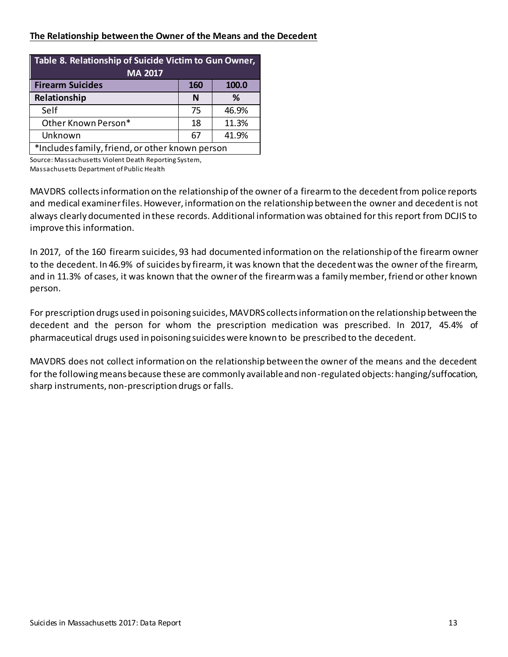#### **The Relationship between the Owner of the Means and the Decedent**

| Table 8. Relationship of Suicide Victim to Gun Owner,<br><b>MA 2017</b> |     |       |  |  |  |  |  |
|-------------------------------------------------------------------------|-----|-------|--|--|--|--|--|
| <b>Firearm Suicides</b>                                                 | 160 | 100.0 |  |  |  |  |  |
| Relationship                                                            | N   | %     |  |  |  |  |  |
| Self                                                                    | 75  | 46.9% |  |  |  |  |  |
| Other Known Person*                                                     | 18  | 11.3% |  |  |  |  |  |
| Unknown<br>41.9%<br>67                                                  |     |       |  |  |  |  |  |
| *Includes family, friend, or other known person                         |     |       |  |  |  |  |  |

Source: Massachusetts Violent Death Reporting System, Massachusetts Department of Public Health

MAVDRS collects information on the relationship of the owner of a firearm to the decedent from police reports and medical examiner files. However, information on the relationship between the owner and decedent is not always clearly documented in these records. Additional information was obtained for this report from DCJIS to improve this information.

In 2017, of the 160 firearm suicides, 93 had documented information on the relationship of the firearm owner to the decedent. In 46.9% of suicides by firearm, it was known that the decedent was the owner of the firearm, and in 11.3% of cases, it was known that the owner of the firearm was a family member, friend or other known person.

For prescription drugs used in poisoning suicides, MAVDRS collects information on the relationship between the decedent and the person for whom the prescription medication was prescribed. In 2017, 45.4% of pharmaceutical drugs used in poisoning suicides were known to be prescribed to the decedent.

MAVDRS does not collect information on the relationship between the owner of the means and the decedent for the following means because these are commonly available and non-regulated objects: hanging/suffocation, sharp instruments, non-prescription drugs or falls.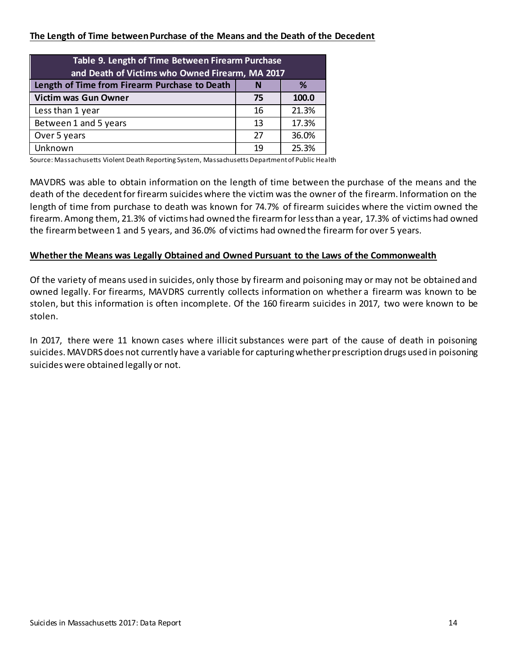#### **The Length of Time between Purchase of the Means and the Death of the Decedent**

| Table 9. Length of Time Between Firearm Purchase<br>and Death of Victims who Owned Firearm, MA 2017 |    |       |  |  |  |  |  |
|-----------------------------------------------------------------------------------------------------|----|-------|--|--|--|--|--|
| Length of Time from Firearm Purchase to Death<br>℅                                                  |    |       |  |  |  |  |  |
| <b>Victim was Gun Owner</b><br>100.0<br>75                                                          |    |       |  |  |  |  |  |
| Less than 1 year                                                                                    | 16 | 21.3% |  |  |  |  |  |
| 17.3%<br>Between 1 and 5 years<br>13                                                                |    |       |  |  |  |  |  |
| 36.0%<br>27<br>Over 5 years                                                                         |    |       |  |  |  |  |  |
| Unknown                                                                                             | 19 | 25.3% |  |  |  |  |  |

Source: Massachusetts Violent Death Reporting System, Massachusetts Department of Public Health

MAVDRS was able to obtain information on the length of time between the purchase of the means and the death of the decedent for firearm suicides where the victim was the owner of the firearm. Information on the length of time from purchase to death was known for 74.7% of firearm suicides where the victim owned the firearm. Among them, 21.3% of victims had owned the firearm for less than a year, 17.3% of victims had owned the firearmbetween 1 and 5 years, and 36.0% of victims had owned the firearm for over 5 years.

#### **Whether the Means was Legally Obtained and Owned Pursuant to the Laws of the Commonwealth**

Of the variety of means used in suicides, only those by firearm and poisoning may or may not be obtained and owned legally. For firearms, MAVDRS currently collects information on whether a firearm was known to be stolen, but this information is often incomplete. Of the 160 firearm suicides in 2017, two were known to be stolen.

In 2017, there were 11 known cases where illicit substances were part of the cause of death in poisoning suicides. MAVDRS does not currently have a variable for capturing whether prescription drugs used in poisoning suicides were obtained legally or not.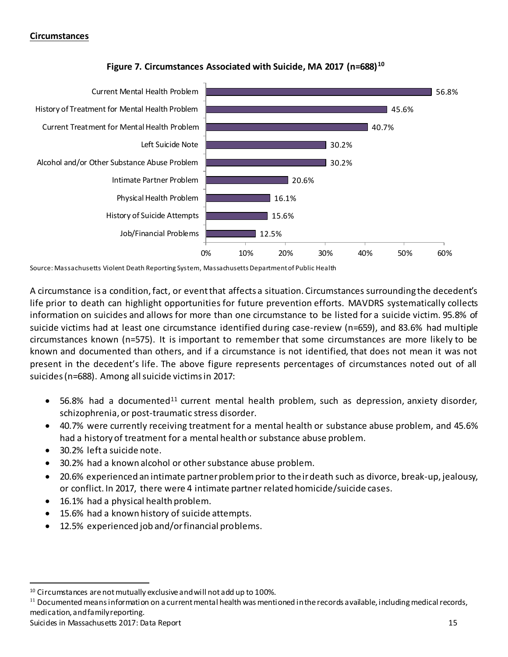#### **Circumstances**



#### **Figure 7. Circumstances Associated with Suicide, MA 2017 (n=688)10**

Source: Massachusetts Violent Death Reporting System, Massachusetts Department of Public Health

A circumstance is a condition, fact, or event that affects a situation. Circumstances surrounding the decedent's life prior to death can highlight opportunities for future prevention efforts. MAVDRS systematically collects information on suicides and allows for more than one circumstance to be listed for a suicide victim. 95.8% of suicide victims had at least one circumstance identified during case-review (n=659), and 83.6% had multiple circumstances known (n=575). It is important to remember that some circumstances are more likely to be known and documented than others, and if a circumstance is not identified, that does not mean it was not present in the decedent's life. The above figure represents percentages of circumstances noted out of all suicides (n=688). Among all suicide victims in 2017:

- 56.8% had a documented<sup>11</sup> current mental health problem, such as depression, anxiety disorder, schizophrenia, or post-traumatic stress disorder.
- 40.7% were currently receiving treatment for a mental health or substance abuse problem, and 45.6% had a history of treatment for a mental health or substance abuse problem.
- 30.2% left a suicide note.
- 30.2% had a known alcohol or other substance abuse problem.
- 20.6% experienced an intimate partner problem prior to their death such as divorce, break-up, jealousy, or conflict. In 2017, there were 4 intimate partner related homicide/suicide cases.
- 16.1% had a physical health problem.
- 15.6% had a known history of suicide attempts.
- 12.5% experienced job and/or financial problems.

Suicides in Massachusetts 2017: Data Report 15 and 2008 15 and 2008 15 and 2018 15 and 2018 15 and 2018 15 and 201

<sup>&</sup>lt;sup>10</sup> Circumstances are not mutually exclusive and will not add up to 100%.

 $11$  Documented means information on a current mental health was mentioned in the records available, including medical records, medication, and family reporting.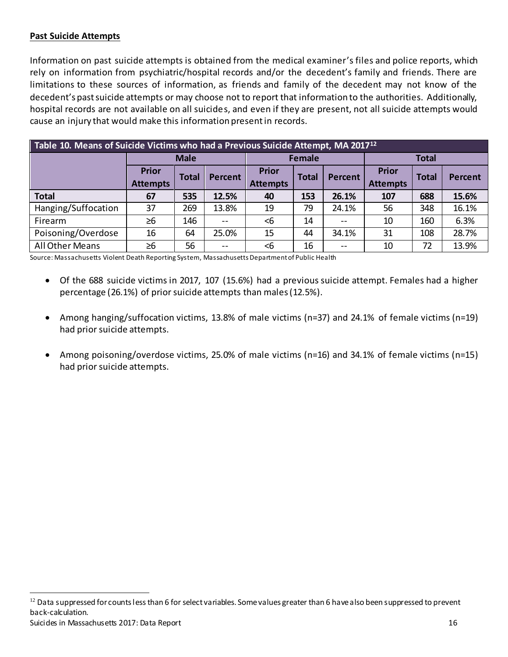#### **Past Suicide Attempts**

Information on past suicide attempts is obtained from the medical examiner's files and police reports, which rely on information from psychiatric/hospital records and/or the decedent's family and friends. There are limitations to these sources of information, as friends and family of the decedent may not know of the decedent's past suicide attempts or may choose not to report that information to the authorities. Additionally, hospital records are not available on all suicides, and even if they are present, not all suicide attempts would cause an injury that would make this information present in records.

| Table 10. Means of Suicide Victims who had a Previous Suicide Attempt, MA 2017 <sup>12</sup> |                 |              |         |                 |               |                |                 |              |                |
|----------------------------------------------------------------------------------------------|-----------------|--------------|---------|-----------------|---------------|----------------|-----------------|--------------|----------------|
|                                                                                              |                 | <b>Male</b>  |         |                 | <b>Female</b> |                | <b>Total</b>    |              |                |
|                                                                                              | <b>Prior</b>    | <b>Total</b> | Percent | <b>Prior</b>    | <b>Total</b>  | <b>Percent</b> | <b>Prior</b>    | <b>Total</b> | <b>Percent</b> |
|                                                                                              | <b>Attempts</b> |              |         | <b>Attempts</b> |               |                | <b>Attempts</b> |              |                |
| <b>Total</b>                                                                                 | 67              | 535          | 12.5%   | 40              | 153           | 26.1%          | 107             | 688          | 15.6%          |
| Hanging/Suffocation                                                                          | 37              | 269          | 13.8%   | 19              | 79            | 24.1%          | 56              | 348          | 16.1%          |
| Firearm                                                                                      | $\geq 6$        | 146          |         | $<$ 6           | 14            | $-$            | 10              | 160          | 6.3%           |
| Poisoning/Overdose                                                                           | 16              | 64           | 25.0%   | 15              | 44            | 34.1%          | 31              | 108          | 28.7%          |
| All Other Means                                                                              | $\geq 6$        | 56           | $- -$   | <6              | 16            | $- -$          | 10              | 72           | 13.9%          |

Source: Massachusetts Violent Death Reporting System, Massachusetts Department of Public Health

- Of the 688 suicide victims in 2017, 107 (15.6%) had a previous suicide attempt. Females had a higher percentage (26.1%) of prior suicide attempts than males (12.5%).
- Among hanging/suffocation victims, 13.8% of male victims (n=37) and 24.1% of female victims (n=19) had prior suicide attempts.
- Among poisoning/overdose victims, 25.0% of male victims (n=16) and 34.1% of female victims (n=15) had prior suicide attempts.

Suicides in Massachusetts 2017: Data Report 16 <sup>12</sup> Data suppressed for counts less than 6 for select variables. Some values greater than 6 have also been suppressed to prevent back-calculation.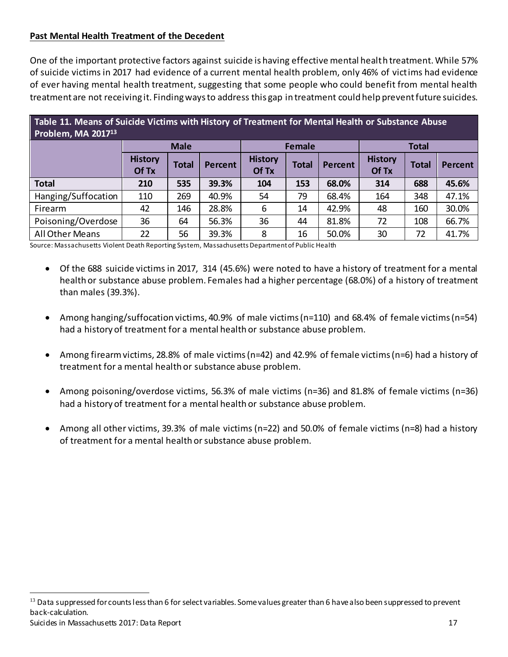#### **Past Mental Health Treatment of the Decedent**

One of the important protective factors against suicide is having effective mental health treatment. While 57% of suicide victims in 2017 had evidence of a current mental health problem, only 46% of victims had evidence of ever having mental health treatment, suggesting that some people who could benefit from mental health treatment are not receiving it. Finding ways to address this gap in treatment could help prevent future suicides.

# **Table 11. Means of Suicide Victims with History of Treatment for Mental Health or Substance Abuse Problem, MA 2017<sup>13</sup>**

|                     |                         | <b>Male</b>  |         |                         | <b>Female</b> |                | <b>Total</b>            |              |                |
|---------------------|-------------------------|--------------|---------|-------------------------|---------------|----------------|-------------------------|--------------|----------------|
|                     | <b>History</b><br>Of Tx | <b>Total</b> | Percent | <b>History</b><br>Of Tx | <b>Total</b>  | <b>Percent</b> | <b>History</b><br>Of Tx | <b>Total</b> | <b>Percent</b> |
| <b>Total</b>        | 210                     | 535          | 39.3%   | 104                     | 153           | 68.0%          | 314                     | 688          | 45.6%          |
| Hanging/Suffocation | 110                     | 269          | 40.9%   | 54                      | 79            | 68.4%          | 164                     | 348          | 47.1%          |
| Firearm             | 42                      | 146          | 28.8%   | 6                       | 14            | 42.9%          | 48                      | 160          | 30.0%          |
| Poisoning/Overdose  | 36                      | 64           | 56.3%   | 36                      | 44            | 81.8%          | 72                      | 108          | 66.7%          |
| All Other Means     | 22                      | 56           | 39.3%   | 8                       | 16            | 50.0%          | 30                      | 72           | 41.7%          |

Source: Massachusetts Violent Death Reporting System, Massachusetts Department of Public Health

- Of the 688 suicide victims in 2017, 314 (45.6%) were noted to have a history of treatment for a mental health or substance abuse problem. Females had a higher percentage (68.0%) of a history of treatment than males (39.3%).
- Among hanging/suffocation victims, 40.9% of male victims (n=110) and 68.4% of female victims (n=54) had a history of treatment for a mental health or substance abuse problem.
- Among firearm victims, 28.8% of male victims (n=42) and 42.9% of female victims (n=6) had a history of treatment for a mental health or substance abuse problem.
- Among poisoning/overdose victims, 56.3% of male victims (n=36) and 81.8% of female victims (n=36) had a history of treatment for a mental health or substance abuse problem.
- Among all other victims, 39.3% of male victims (n=22) and 50.0% of female victims (n=8) had a history of treatment for a mental health or substance abuse problem.

Suicides in Massachusetts 2017: Data Report 17 and 2008 17 and 2018 17 and 2018 17 and 2018 17 and 2019 17 and 2019 17 and 2019 17 and 2019 17 and 2019 17 and 2019 17 and 2019 17 and 2019 17 and 2019 17 and 2019 17 and 201 <sup>13</sup> Data suppressed for counts less than 6 for select variables. Some values greater than 6 have also been suppressed to prevent back-calculation.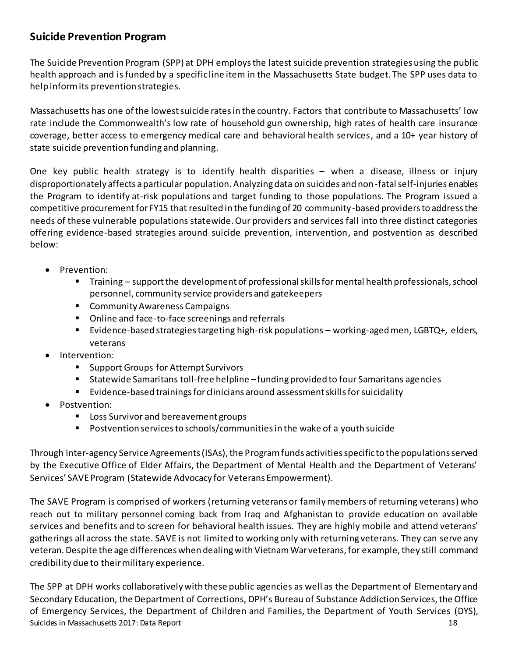# **Suicide Prevention Program**

The Suicide Prevention Program (SPP) at DPH employs the latest suicide prevention strategies using the public health approach and is funded by a specific line item in the Massachusetts State budget. The SPP uses data to help inform its prevention strategies.

Massachusetts has one of the lowest suicide rates in the country. Factors that contribute to Massachusetts' low rate include the Commonwealth's low rate of household gun ownership, high rates of health care insurance coverage, better access to emergency medical care and behavioral health services, and a 10+ year history of state suicide prevention funding and planning.

One key public health strategy is to identify health disparities – when a disease, illness or injury disproportionately affects a particular population. Analyzing data on suicides and non-fatal self-injuries enables the Program to identify at-risk populations and target funding to those populations. The Program issued a competitive procurement for FY15 that resulted in the funding of 20 community-based providers to address the needs of these vulnerable populations statewide. Our providers and services fall into three distinct categories offering evidence-based strategies around suicide prevention, intervention, and postvention as described below:

- Prevention:
	- Training support the development of professional skills for mental health professionals, school personnel, community service providers and gatekeepers
	- Community Awareness Campaigns
	- Online and face-to-face screenings and referrals
	- Evidence-based strategies targeting high-risk populations working-aged men, LGBTQ+, elders, veterans
- Intervention:
	- Support Groups for Attempt Survivors
	- Statewide Samaritans toll-free helpline funding provided to four Samaritans agencies
	- Evidence-based trainings for clinicians around assessment skills for suicidality
- Postvention:
	- Loss Survivor and bereavement groups
	- Postvention services to schools/communities in the wake of a youth suicide

Through Inter-agency Service Agreements (ISAs), the Program funds activities specific to the populations served by the Executive Office of Elder Affairs, the Department of Mental Health and the Department of Veterans' Services' SAVE Program (Statewide Advocacy for Veterans Empowerment).

The SAVE Program is comprised of workers (returning veterans or family members of returning veterans) who reach out to military personnel coming back from Iraq and Afghanistan to provide education on available services and benefits and to screen for behavioral health issues. They are highly mobile and attend veterans' gatherings all across the state. SAVE is not limited to working only with returning veterans. They can serve any veteran. Despite the age differences when dealing with Vietnam War veterans, for example, they still command credibility due to their military experience.

Suicides in Massachusetts 2017: Data Report 18 The SPP at DPH works collaboratively with these public agencies as well as the Department of Elementary and Secondary Education, the Department of Corrections, DPH's Bureau of Substance Addiction Services, the Office of Emergency Services, the Department of Children and Families, the Department of Youth Services (DYS),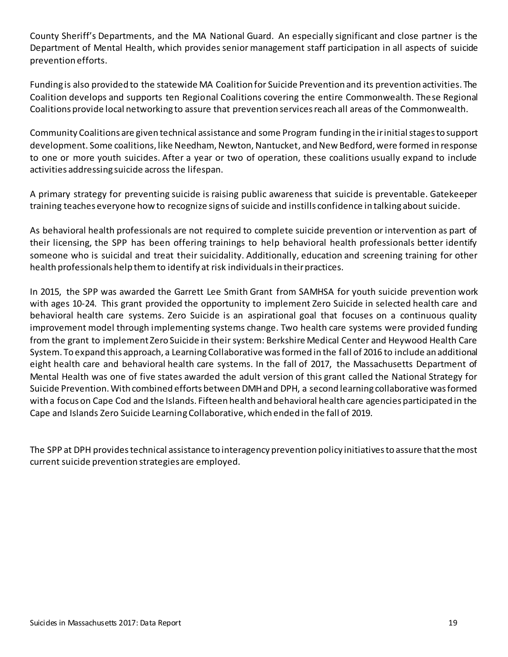County Sheriff's Departments, and the MA National Guard. An especially significant and close partner is the Department of Mental Health, which provides senior management staff participation in all aspects of suicide prevention efforts.

Funding is also provided to the statewide MA Coalition for Suicide Prevention and its prevention activities. The Coalition develops and supports ten Regional Coalitions covering the entire Commonwealth. These Regional Coalitions provide local networking to assure that prevention services reach all areas of the Commonwealth.

Community Coalitions are given technical assistance and some Program funding in the irinitial stages to support development. Some coalitions, like Needham, Newton, Nantucket, and New Bedford, were formed in response to one or more youth suicides. After a year or two of operation, these coalitions usually expand to include activities addressing suicide across the lifespan.

A primary strategy for preventing suicide is raising public awareness that suicide is preventable. Gatekeeper training teaches everyone how to recognize signs of suicide and instills confidence in talking about suicide.

As behavioral health professionals are not required to complete suicide prevention or intervention as part of their licensing, the SPP has been offering trainings to help behavioral health professionals better identify someone who is suicidal and treat their suicidality. Additionally, education and screening training for other health professionals help them to identify at risk individuals in their practices.

In 2015, the SPP was awarded the Garrett Lee Smith Grant from SAMHSA for youth suicide prevention work with ages 10-24. This grant provided the opportunity to implement Zero Suicide in selected health care and behavioral health care systems. Zero Suicide is an aspirational goal that focuses on a continuous quality improvement model through implementing systems change. Two health care systems were provided funding from the grant to implement Zero Suicide in their system: Berkshire Medical Center and Heywood Health Care System. To expand this approach, a Learning Collaborative was formed in the fall of 2016 to include an additional eight health care and behavioral health care systems. In the fall of 2017, the Massachusetts Department of Mental Health was one of five states awarded the adult version of this grant called the National Strategy for Suicide Prevention. With combined efforts between DMH and DPH, a second learning collaborative was formed with a focus on Cape Cod and the Islands. Fifteen health and behavioral health care agencies participated in the Cape and Islands Zero Suicide Learning Collaborative, which ended in the fall of 2019.

The SPP at DPH provides technical assistance to interagency prevention policy initiatives to assure that the most current suicide prevention strategies are employed.